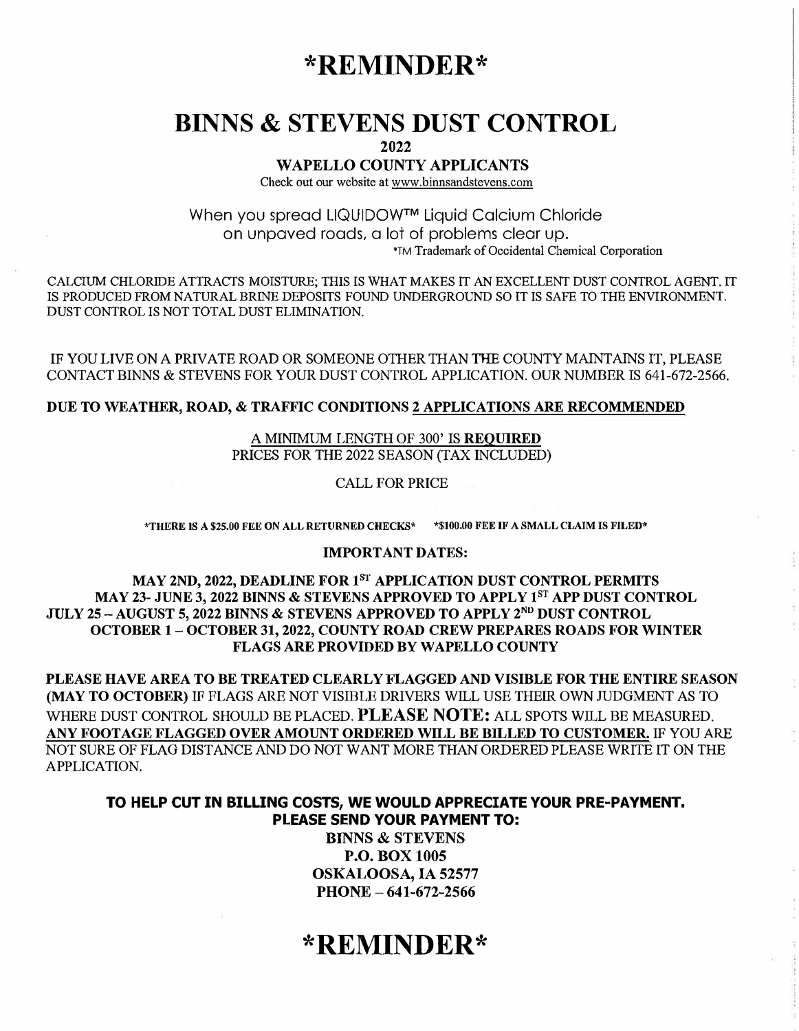## **\*REMINDER\***

## **BINNS & STEVENS DUST CONTROL**

**2022** 

### **WAPELLO COUNTY APPLICANTS**

Check out our website at www.binnsandstevens.com

When you spread LIQUIDOW™ Liquid Calcium Chloride on unpaved roads, a lot of problems clear up. 'TM Trademark of Occidental Chemical Corporation

CALCIUM CHLORIDE ATTRACTS MOISTURE; THIS IS WHAT MAKES IT AN EXCELLENT DUST CONTROL AGENT. IT IS PRODUCED FROM NATURAL BRINE DEPOSITS FOUND UNDERGROUND SO IT IS SAFE TO THE ENVIRONMENT. DUST CONTROL IS NOT TOTAL DUST ELIMINATION.

IF YOU LIVE ON A PRIVATE ROAD OR SOMEONE OTHER THAN THE COUNTY MAINTAINS IT, PLEASE CONTACT BINNS & STEVENS FOR YOUR DUST CONTROL APPLICATION. OUR NUMBER IS 641-672-2566.

### **DUE TO WEATHER, ROAD, & TRAFFIC CONDITIONS 2 APPLICATIONS ARE RECOMMENDED**

A MINIMUM LENGTH OF 300' IS **REQUIRED**  PRICES FOR THE 2022 SEASON (TAX INCLUDED)

CALL FOR PRICE

**\*THERE lS A \$25.00 FEE ON ALL RETURNED CHECKS\* \*\$100,00 FEE IF A SMALL CLAIM IS FILED\*** 

### **IMPORTANT DATES:**

**MAY 2ND, 2022, DEADLINE FOR 1 8T APPLICATION DUST CONTROL PERMITS MAY 23- JUNE 3, 2022 BINNS & STEVENS APPROVED TO APPLY 1 8T APP DUST CONTROL**  JULY 25 – AUGUST 5, 2022 BINNS & STEVENS APPROVED TO APPLY 2<sup>nd</sup> DUST CONTROL **OCTOBER 1- OCTOBER 31, 2022, COUNTY ROAD CREW PREPARES ROADS FOR WINTER FLAGS ARE PROVIDED BY WAPELLO COUNTY** 

**PLEASE HAVE AREA TO BE TREATED CLEARLY FLAGGED AND VISIBLE FOR THE ENTIRE SEASON (MAY TO OCTOBER)** IF FLAGS ARE NOT VISIBLE DRIVERS WILL USE THEIR OWN TIJDGMENT AS TO WHERE DUST CONTROL SHOULD BE PLACED. **PLEASE NOTE:** ALL SPOTS WILL BE MEASURED. **ANY FOOTAGE FLAGGED OVER AMOUNT ORDERED WILL BE BILLED TO CUSTOMER.** IF YOU ARE NOT SURE OF FLAG DISTANCE AND DO NOT WANT MORE THAN ORDERED PLEASE WRITE IT ON THE APPLICATION.

### **TO HELP CUT IN BILLING COSTS, WE WOULD APPRECIATE YOUR PRE-PAYMENT. PLEASE SEND YOUR PAYMENT TO:**

**BINNS & STEVENS P.O. BOX 1005 OSKALOOSA, IA 52577 PHONE- 641-672-2566** 

# **\*REMINDER\***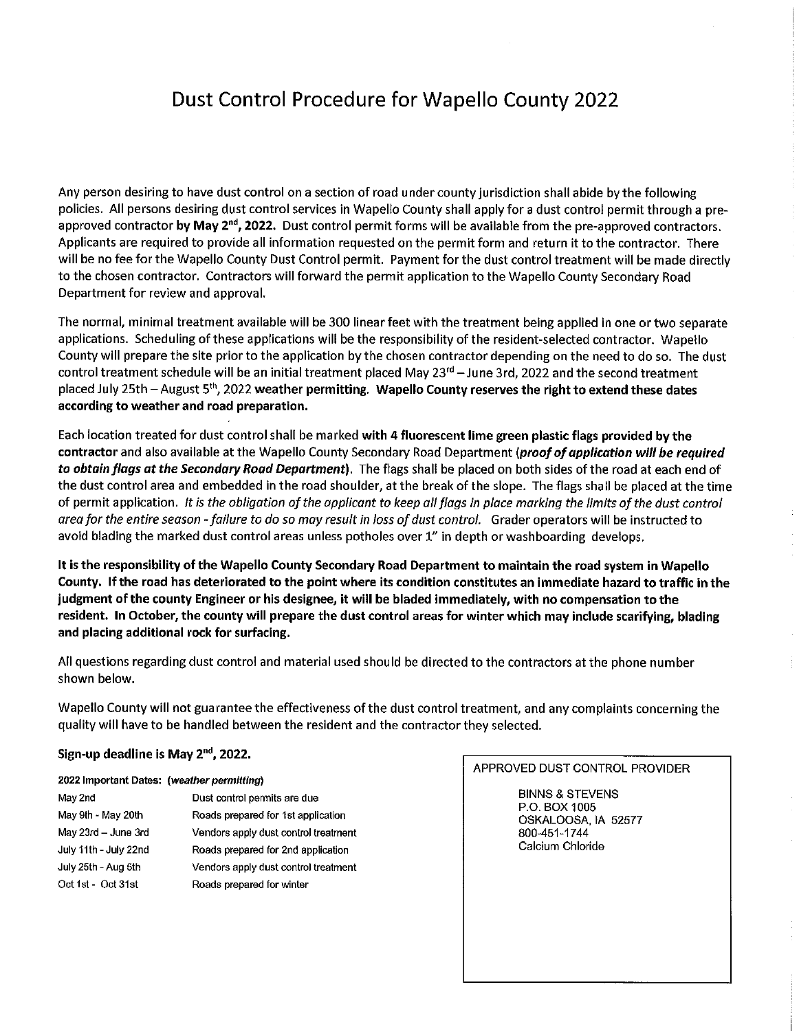## **Dust Control Procedure for Wapello County 2022**

Any person desiring to have dust control on a section of road under county jurisdiction shall abide by the following policies. All persons desiring dust control services in Wapello County shall apply for a dust control permit through a preapproved contractor by May 2<sup>nd</sup>, 2022. Dust control permit forms will be available from the pre-approved contractors. Applicants are required to provide all information requested on the permit form and return it to the contractor. There will be no fee for the Wapello County Dust Control permit. Payment for the dust control treatment will be made directly to the chosen contractor. Contractors will forward the permit application to the Wapello County Secondary Road Department for review and approval.

The normal, minimal treatment available will be 300 linear feet with the treatment being applied in one or two separate applications. Scheduling of these applications will be the responsibility of the resident-selected contractor. Wapello County will prepare the site prior to the application by the chosen contractor depending on the need to do so. The dust control treatment schedule will be an initial treatment placed May 23<sup>rd</sup> – June 3rd, 2022 and the second treatment placed July 25th - August 5<sup>th</sup>, 2022 weather permitting. Wapello County reserves the right to extend these dates according to weather and road preparation.

Each location treated for dust control shall be marked with 4 fluorescent lime green plastic flags provided by the contractor and also available at the Wapello County Secondary Road Department (proof of application will be required to obtain flags at the Secondary Road Department). The flags shall be placed on both sides of the road at each end of the dust control area and embedded in the road shoulder, at the break of the slope. The flags shall be placed at the time of permit application. It is the obligation of the applicant to keep all flags in place marking the limits of the dust control area for the entire season - failure to do so may result in loss of dust control. Grader operators will be instructed to avoid blading the marked dust control areas unless potholes over 1" in depth or washboarding develops.

It is the responsibility of the Wapello County Secondary Road Department to maintain the road system in Wapello County. If the road has deteriorated to the point where its condition constitutes an immediate hazard to traffic in the judgment of the county Engineer or his designee, it will be bladed immediately, with no compensation to the resident. In October, the county will prepare the dust control areas for winter which may include scarifying, blading and placing additional rock for surfacing.

All questions regarding dust control and material used should be directed to the contractors at the phone number shown below.

Wapello County will not guarantee the effectiveness of the dust control treatment, and any complaints concerning the quality will have to be handled between the resident and the contractor they selected.

### Sign-up deadline is May 2<sup>nd</sup>, 2022.

#### 2022 Important Dates: (weather permitting)

| May 2nd               | Dust control permits are due         |  |
|-----------------------|--------------------------------------|--|
| May 9th - May 20th    | Roads prepared for 1st application   |  |
| May 23rd - June 3rd   | Vendors apply dust control treatment |  |
| July 11th - July 22nd | Roads prepared for 2nd application   |  |
| July 25th - Aug 5th   | Vendors apply dust control treatment |  |
| Oct 1st - Oct 31st    | Roads prepared for winter            |  |

APPROVED DUST CONTROL PROVIDER

**BINNS & STEVENS** P.O. BOX 1005 OSKALOOSA, IA 52577 800-451-1744 Calcium Chloride